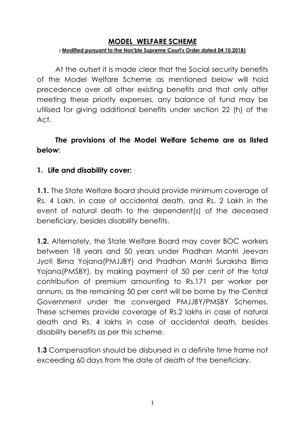#### **MODEL WELFARE SCHEME** ( **Modified pursuant to the Hon'ble Supreme Court's Order dated 04.10.2018)**

At the outset it is made clear that the Social security benefits of the Model Welfare Scheme as mentioned below will hold precedence over all other existing benefits and that only after meeting these priority expenses, any balance of fund may be utilised for giving additional benefits under section 22 (h) of the Act.

### **The provisions of the Model Welfare Scheme are as listed below:**

#### **1. Life and disability cover:**

**1.1.** The State Welfare Board should provide minimum coverage of Rs. 4 Lakh, in case of accidental death, and Rs. 2 Lakh in the event of natural death to the dependent(s) of the deceased beneficiary, besides disability benefits.

**1.2.** Alternately, the State Welfare Board may cover BOC workers between 18 years and 50 years under Pradhan Mantri Jeevan Jyoti Bima Yojana(PMJJBY) and Pradhan Mantri Suraksha Bima Yojana(PMSBY), by making payment of 50 per cent of the total contribution of premium amounting to Rs.171 per worker per annum, as the remaining 50 per cent will be borne by the Central Government under the converged PMJJBY/PMSBY Schemes. These schemes provide coverage of Rs.2 lakhs in case of natural death and Rs. 4 lakhs in case of accidental death, besides disability benefits as per this scheme.

**1.3** Compensation should be disbursed in a definite time frame not exceeding 60 days from the date of death of the beneficiary.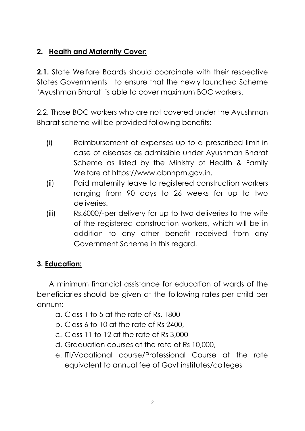# **2. Health and Maternity Cover:**

**2.1.** State Welfare Boards should coordinate with their respective States Governments to ensure that the newly launched Scheme 'Ayushman Bharat' is able to cover maximum BOC workers.

2.2. Those BOC workers who are not covered under the Ayushman Bharat scheme will be provided following benefits:

- (i) Reimbursement of expenses up to a prescribed limit in case of diseases as admissible under Ayushman Bharat Scheme as listed by the Ministry of Health & Family Welfare at https://www.abnhpm.gov.in.
- (ii) Paid maternity leave to registered construction workers ranging from 90 days to 26 weeks for up to two deliveries.
- (iii) Rs.6000/-per delivery for up to two deliveries to the wife of the registered construction workers, which will be in addition to any other benefit received from any Government Scheme in this regard.

# **3. Education:**

A minimum financial assistance for education of wards of the beneficiaries should be given at the following rates per child per annum:

- a. Class 1 to 5 at the rate of Rs. 1800
- b. Class 6 to 10 at the rate of Rs 2400,
- c. Class 11 to 12 at the rate of Rs 3,000
- d. Graduation courses at the rate of Rs 10,000,
- e. ITI/Vocational course/Professional Course at the rate equivalent to annual fee of Govt institutes/colleges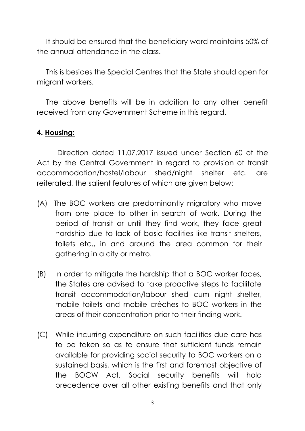It should be ensured that the beneficiary ward maintains 50% of the annual attendance in the class.

This is besides the Special Centres that the State should open for migrant workers.

The above benefits will be in addition to any other benefit received from any Government Scheme in this regard.

#### **4. Housing:**

Direction dated 11.07.2017 issued under Section 60 of the Act by the Central Government in regard to provision of transit accommodation/hostel/labour shed/night shelter etc. are reiterated, the salient features of which are given below:

- (A) The BOC workers are predominantly migratory who move from one place to other in search of work. During the period of transit or until they find work, they face great hardship due to lack of basic facilities like transit shelters, toilets etc., in and around the area common for their gathering in a city or metro.
- (B) In order to mitigate the hardship that a BOC worker faces, the States are advised to take proactive steps to facilitate transit accommodation/labour shed cum night shelter, mobile toilets and mobile crèches to BOC workers in the areas of their concentration prior to their finding work.
- (C) While incurring expenditure on such facilities due care has to be taken so as to ensure that sufficient funds remain available for providing social security to BOC workers on a sustained basis, which is the first and foremost objective of the BOCW Act. Social security benefits will hold precedence over all other existing benefits and that only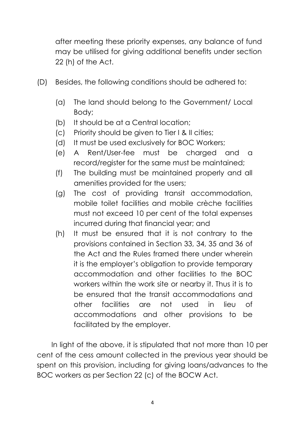after meeting these priority expenses, any balance of fund may be utilised for giving additional benefits under section 22 (h) of the Act.

- (D) Besides, the following conditions should be adhered to:
	- (a) The land should belong to the Government/ Local Body;
	- (b) It should be at a Central location;
	- (c) Priority should be given to Tier I & II cities;
	- (d) It must be used exclusively for BOC Workers;
	- (e) A Rent/User-fee must be charged and a record/register for the same must be maintained;
	- (f) The building must be maintained properly and all amenities provided for the users;
	- (g) The cost of providing transit accommodation, mobile toilet facilities and mobile crèche facilities must not exceed 10 per cent of the total expenses incurred during that financial year; and
	- (h) It must be ensured that it is not contrary to the provisions contained in Section 33, 34, 35 and 36 of the Act and the Rules framed there under wherein it is the employer's obligation to provide temporary accommodation and other facilities to the BOC workers within the work site or nearby it. Thus it is to be ensured that the transit accommodations and other facilities are not used in lieu of accommodations and other provisions to be facilitated by the employer.

In light of the above, it is stipulated that not more than 10 per cent of the cess amount collected in the previous year should be spent on this provision, including for giving loans/advances to the BOC workers as per Section 22 (c) of the BOCW Act.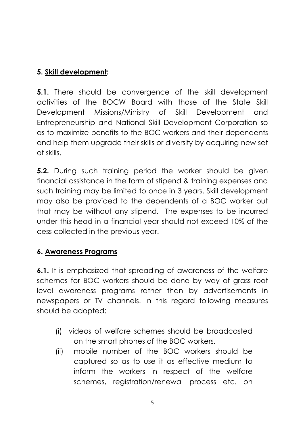## **5. Skill development:**

**5.1.** There should be convergence of the skill development activities of the BOCW Board with those of the State Skill Development Missions/Ministry of Skill Development and Entrepreneurship and National Skill Development Corporation so as to maximize benefits to the BOC workers and their dependents and help them upgrade their skills or diversify by acquiring new set of skills.

**5.2.** During such training period the worker should be given financial assistance in the form of stipend & training expenses and such training may be limited to once in 3 years. Skill development may also be provided to the dependents of a BOC worker but that may be without any stipend. The expenses to be incurred under this head in a financial year should not exceed 10% of the cess collected in the previous year.

## **6. Awareness Programs**

**6.1.** It is emphasized that spreading of awareness of the welfare schemes for BOC workers should be done by way of grass root level awareness programs rather than by advertisements in newspapers or TV channels. In this regard following measures should be adopted:

- (i) videos of welfare schemes should be broadcasted on the smart phones of the BOC workers.
- (ii) mobile number of the BOC workers should be captured so as to use it as effective medium to inform the workers in respect of the welfare schemes, registration/renewal process etc. on